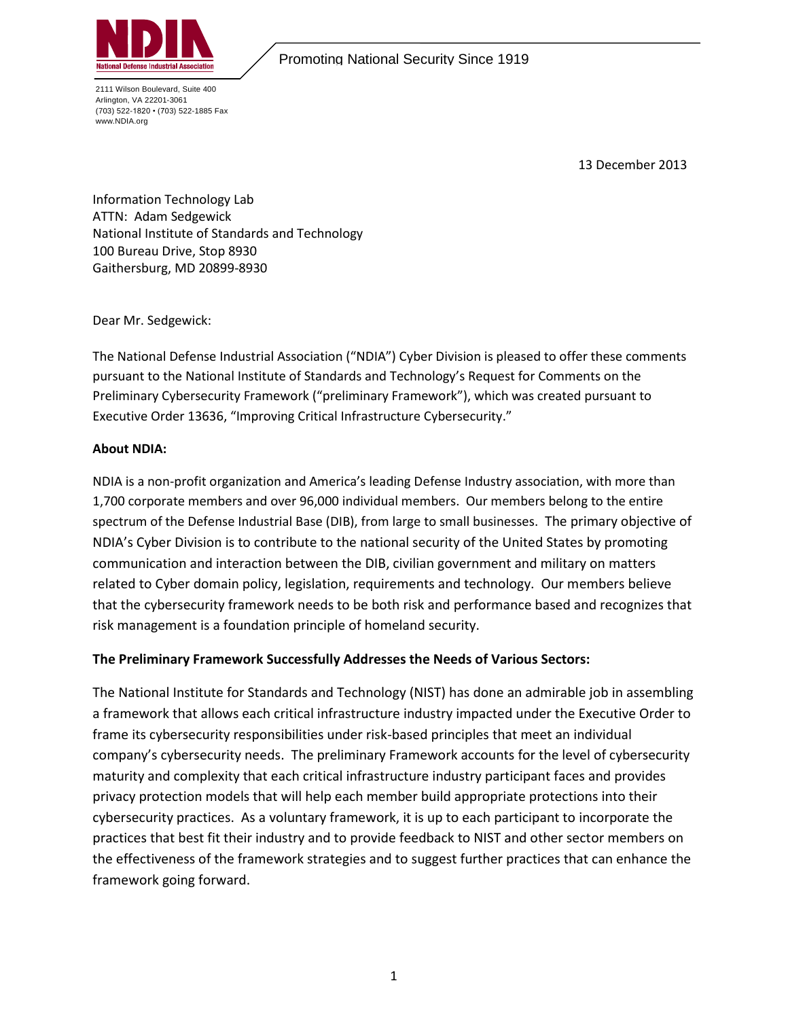

Promoting National Security Since 1919

2111 Wilson Boulevard, Suite 400 Arlington, VA 22201-3061 (703) 522-1820 • (703) 522-1885 Fax www.NDIA.org

13 December 2013

Information Technology Lab ATTN: Adam Sedgewick National Institute of Standards and Technology 100 Bureau Drive, Stop 8930 Gaithersburg, MD 20899-8930

Dear Mr. Sedgewick:

The National Defense Industrial Association ("NDIA") Cyber Division is pleased to offer these comments pursuant to the National Institute of Standards and Technology's Request for Comments on the Preliminary Cybersecurity Framework ("preliminary Framework"), which was created pursuant to Executive Order 13636, "Improving Critical Infrastructure Cybersecurity."

## **About NDIA:**

NDIA is a non-profit organization and America's leading Defense Industry association, with more than 1,700 corporate members and over 96,000 individual members. Our members belong to the entire spectrum of the Defense Industrial Base (DIB), from large to small businesses. The primary objective of NDIA's Cyber Division is to contribute to the national security of the United States by promoting communication and interaction between the DIB, civilian government and military on matters related to Cyber domain policy, legislation, requirements and technology. Our members believe that the cybersecurity framework needs to be both risk and performance based and recognizes that risk management is a foundation principle of homeland security.

# **The Preliminary Framework Successfully Addresses the Needs of Various Sectors:**

The National Institute for Standards and Technology (NIST) has done an admirable job in assembling a framework that allows each critical infrastructure industry impacted under the Executive Order to frame its cybersecurity responsibilities under risk-based principles that meet an individual company's cybersecurity needs. The preliminary Framework accounts for the level of cybersecurity maturity and complexity that each critical infrastructure industry participant faces and provides privacy protection models that will help each member build appropriate protections into their cybersecurity practices. As a voluntary framework, it is up to each participant to incorporate the practices that best fit their industry and to provide feedback to NIST and other sector members on the effectiveness of the framework strategies and to suggest further practices that can enhance the framework going forward.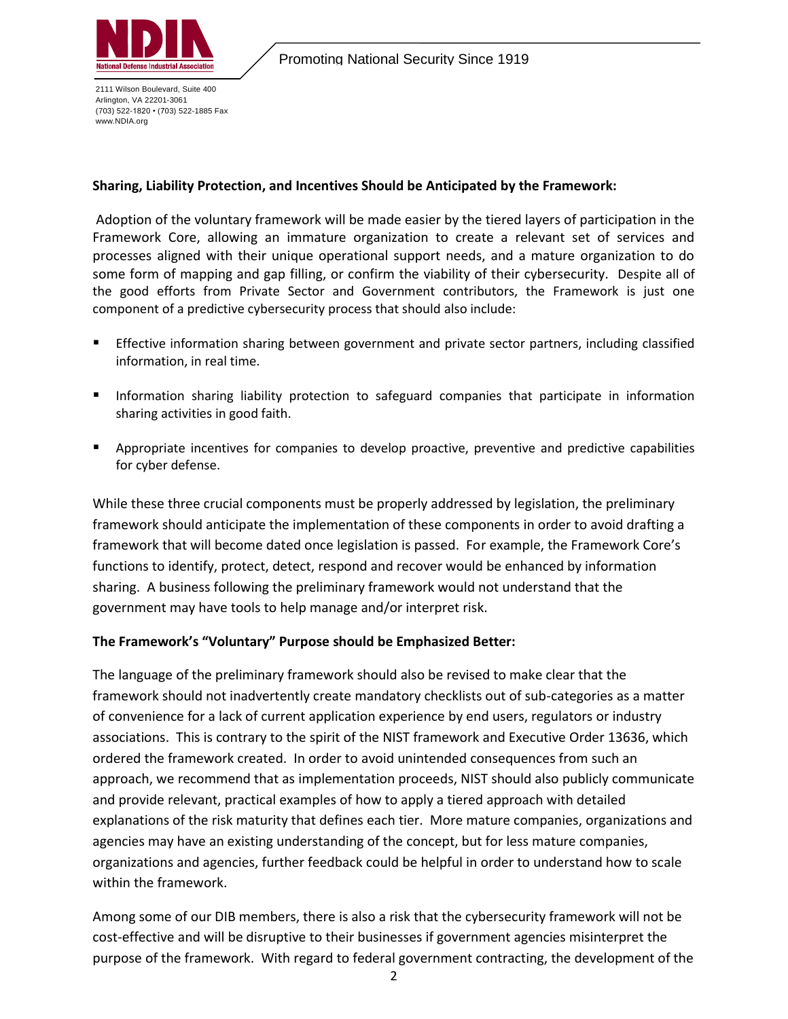

2111 Wilson Boulevard, Suite 400 Arlington, VA 22201-3061 (703) 522-1820 • (703) 522-1885 Fax www.NDIA.org

## **Sharing, Liability Protection, and Incentives Should be Anticipated by the Framework:**

Adoption of the voluntary framework will be made easier by the tiered layers of participation in the Framework Core, allowing an immature organization to create a relevant set of services and processes aligned with their unique operational support needs, and a mature organization to do some form of mapping and gap filling, or confirm the viability of their cybersecurity. Despite all of the good efforts from Private Sector and Government contributors, the Framework is just one component of a predictive cybersecurity process that should also include:

- Effective information sharing between government and private sector partners, including classified information, in real time.
- **Information sharing liability protection to safeguard companies that participate in information** sharing activities in good faith.
- **EXP** Appropriate incentives for companies to develop proactive, preventive and predictive capabilities for cyber defense.

While these three crucial components must be properly addressed by legislation, the preliminary framework should anticipate the implementation of these components in order to avoid drafting a framework that will become dated once legislation is passed. For example, the Framework Core's functions to identify, protect, detect, respond and recover would be enhanced by information sharing. A business following the preliminary framework would not understand that the government may have tools to help manage and/or interpret risk.

# **The Framework's "Voluntary" Purpose should be Emphasized Better:**

The language of the preliminary framework should also be revised to make clear that the framework should not inadvertently create mandatory checklists out of sub-categories as a matter of convenience for a lack of current application experience by end users, regulators or industry associations. This is contrary to the spirit of the NIST framework and Executive Order 13636, which ordered the framework created. In order to avoid unintended consequences from such an approach, we recommend that as implementation proceeds, NIST should also publicly communicate and provide relevant, practical examples of how to apply a tiered approach with detailed explanations of the risk maturity that defines each tier. More mature companies, organizations and agencies may have an existing understanding of the concept, but for less mature companies, organizations and agencies, further feedback could be helpful in order to understand how to scale within the framework.

Among some of our DIB members, there is also a risk that the cybersecurity framework will not be cost-effective and will be disruptive to their businesses if government agencies misinterpret the purpose of the framework. With regard to federal government contracting, the development of the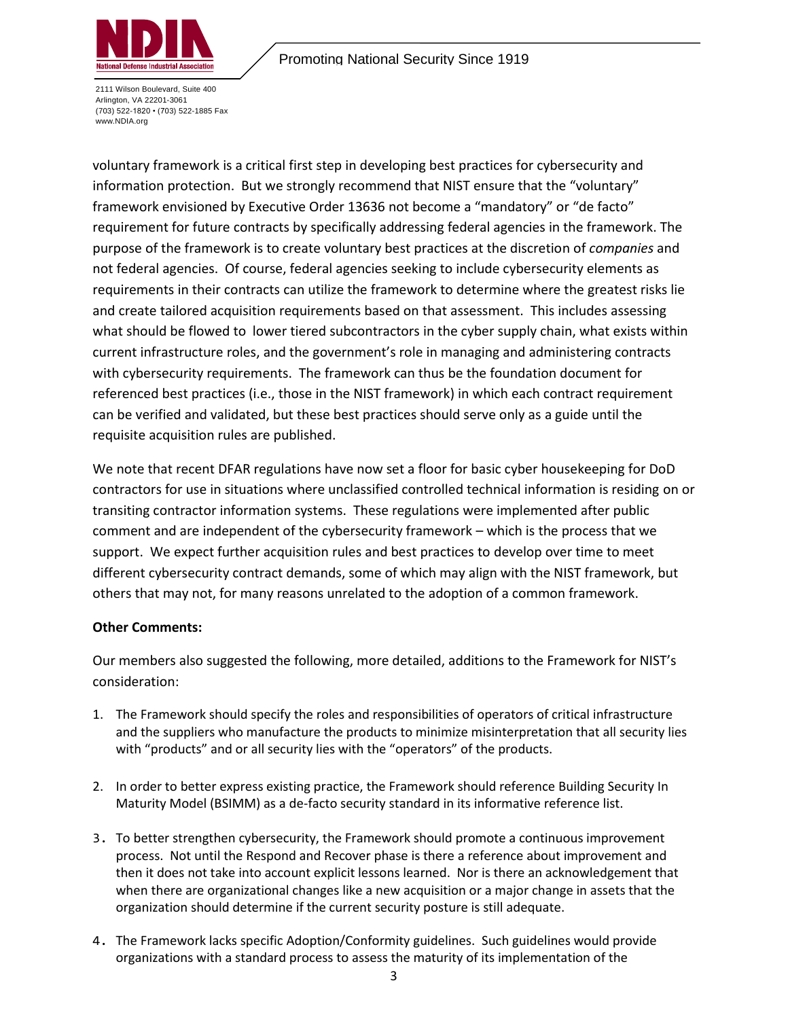

2111 Wilson Boulevard, Suite 400 Arlington, VA 22201-3061 (703) 522-1820 • (703) 522-1885 Fax www.NDIA.org

voluntary framework is a critical first step in developing best practices for cybersecurity and information protection. But we strongly recommend that NIST ensure that the "voluntary" framework envisioned by Executive Order 13636 not become a "mandatory" or "de facto" requirement for future contracts by specifically addressing federal agencies in the framework. The purpose of the framework is to create voluntary best practices at the discretion of *companies* and not federal agencies. Of course, federal agencies seeking to include cybersecurity elements as requirements in their contracts can utilize the framework to determine where the greatest risks lie and create tailored acquisition requirements based on that assessment. This includes assessing what should be flowed to lower tiered subcontractors in the cyber supply chain, what exists within current infrastructure roles, and the government's role in managing and administering contracts with cybersecurity requirements. The framework can thus be the foundation document for referenced best practices (i.e., those in the NIST framework) in which each contract requirement can be verified and validated, but these best practices should serve only as a guide until the requisite acquisition rules are published.

We note that recent DFAR regulations have now set a floor for basic cyber housekeeping for DoD contractors for use in situations where unclassified controlled technical information is residing on or transiting contractor information systems. These regulations were implemented after public comment and are independent of the cybersecurity framework – which is the process that we support. We expect further acquisition rules and best practices to develop over time to meet different cybersecurity contract demands, some of which may align with the NIST framework, but others that may not, for many reasons unrelated to the adoption of a common framework.

# **Other Comments:**

Our members also suggested the following, more detailed, additions to the Framework for NIST's consideration:

- 1. The Framework should specify the roles and responsibilities of operators of critical infrastructure and the suppliers who manufacture the products to minimize misinterpretation that all security lies with "products" and or all security lies with the "operators" of the products.
- 2. In order to better express existing practice, the Framework should reference Building Security In Maturity Model (BSIMM) as a de-facto security standard in its informative reference list.
- 3. To better strengthen cybersecurity, the Framework should promote a continuous improvement process. Not until the Respond and Recover phase is there a reference about improvement and then it does not take into account explicit lessons learned. Nor is there an acknowledgement that when there are organizational changes like a new acquisition or a major change in assets that the organization should determine if the current security posture is still adequate.
- 4. The Framework lacks specific Adoption/Conformity guidelines. Such guidelines would provide organizations with a standard process to assess the maturity of its implementation of the